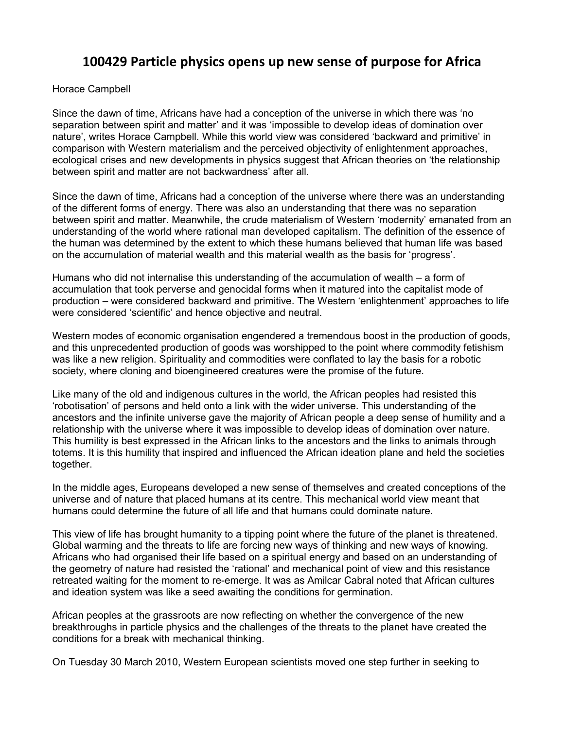## **100429 Particle physics opens up new sense of purpose for Africa**

Horace Campbell

Since the dawn of time, Africans have had a conception of the universe in which there was 'no separation between spirit and matter' and it was 'impossible to develop ideas of domination over nature', writes Horace Campbell. While this world view was considered 'backward and primitive' in comparison with Western materialism and the perceived objectivity of enlightenment approaches, ecological crises and new developments in physics suggest that African theories on 'the relationship between spirit and matter are not backwardness' after all.

Since the dawn of time, Africans had a conception of the universe where there was an understanding of the different forms of energy. There was also an understanding that there was no separation between spirit and matter. Meanwhile, the crude materialism of Western 'modernity' emanated from an understanding of the world where rational man developed capitalism. The definition of the essence of the human was determined by the extent to which these humans believed that human life was based on the accumulation of material wealth and this material wealth as the basis for 'progress'.

Humans who did not internalise this understanding of the accumulation of wealth – a form of accumulation that took perverse and genocidal forms when it matured into the capitalist mode of production – were considered backward and primitive. The Western 'enlightenment' approaches to life were considered 'scientific' and hence objective and neutral.

Western modes of economic organisation engendered a tremendous boost in the production of goods, and this unprecedented production of goods was worshipped to the point where commodity fetishism was like a new religion. Spirituality and commodities were conflated to lay the basis for a robotic society, where cloning and bioengineered creatures were the promise of the future.

Like many of the old and indigenous cultures in the world, the African peoples had resisted this 'robotisation' of persons and held onto a link with the wider universe. This understanding of the ancestors and the infinite universe gave the majority of African people a deep sense of humility and a relationship with the universe where it was impossible to develop ideas of domination over nature. This humility is best expressed in the African links to the ancestors and the links to animals through totems. It is this humility that inspired and influenced the African ideation plane and held the societies together.

In the middle ages, Europeans developed a new sense of themselves and created conceptions of the universe and of nature that placed humans at its centre. This mechanical world view meant that humans could determine the future of all life and that humans could dominate nature.

This view of life has brought humanity to a tipping point where the future of the planet is threatened. Global warming and the threats to life are forcing new ways of thinking and new ways of knowing. Africans who had organised their life based on a spiritual energy and based on an understanding of the geometry of nature had resisted the 'rational' and mechanical point of view and this resistance retreated waiting for the moment to re-emerge. It was as Amilcar Cabral noted that African cultures and ideation system was like a seed awaiting the conditions for germination.

African peoples at the grassroots are now reflecting on whether the convergence of the new breakthroughs in particle physics and the challenges of the threats to the planet have created the conditions for a break with mechanical thinking.

On Tuesday 30 March 2010, Western European scientists moved one step further in seeking to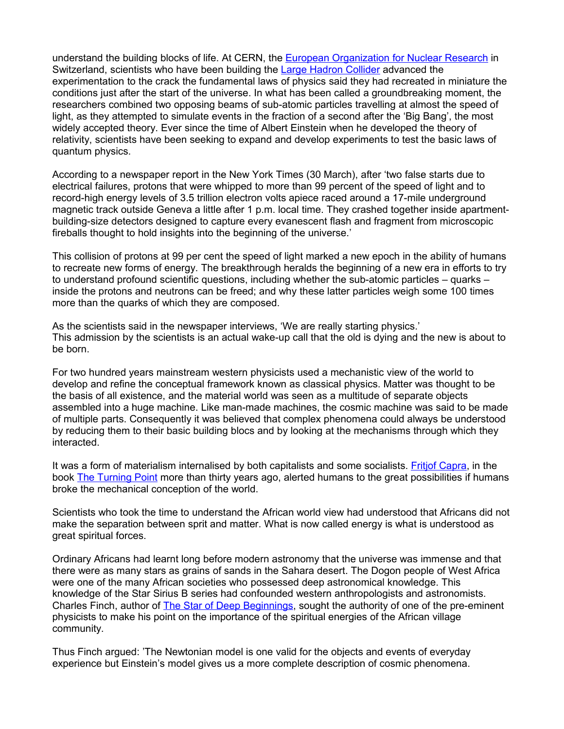understand the building blocks of life. At CERN, the [European Organization for Nuclear Research](http://public.web.cern.ch/public/) in Switzerland, scientists who have been building the [Large Hadron Collider](http://public.web.cern.ch/public/en/LHC/LHC-en.html) advanced the experimentation to the crack the fundamental laws of physics said they had recreated in miniature the conditions just after the start of the universe. In what has been called a groundbreaking moment, the researchers combined two opposing beams of sub-atomic particles travelling at almost the speed of light, as they attempted to simulate events in the fraction of a second after the 'Big Bang', the most widely accepted theory. Ever since the time of Albert Einstein when he developed the theory of relativity, scientists have been seeking to expand and develop experiments to test the basic laws of quantum physics.

According to a newspaper report in the New York Times (30 March), after 'two false starts due to electrical failures, protons that were whipped to more than 99 percent of the speed of light and to record-high energy levels of 3.5 trillion electron volts apiece raced around a 17-mile underground magnetic track outside Geneva a little after 1 p.m. local time. They crashed together inside apartmentbuilding-size detectors designed to capture every evanescent flash and fragment from microscopic fireballs thought to hold insights into the beginning of the universe.'

This collision of protons at 99 per cent the speed of light marked a new epoch in the ability of humans to recreate new forms of energy. The breakthrough heralds the beginning of a new era in efforts to try to understand profound scientific questions, including whether the sub-atomic particles – quarks – inside the protons and neutrons can be freed; and why these latter particles weigh some 100 times more than the quarks of which they are composed.

As the scientists said in the newspaper interviews, 'We are really starting physics.' This admission by the scientists is an actual wake-up call that the old is dying and the new is about to be born.

For two hundred years mainstream western physicists used a mechanistic view of the world to develop and refine the conceptual framework known as classical physics. Matter was thought to be the basis of all existence, and the material world was seen as a multitude of separate objects assembled into a huge machine. Like man-made machines, the cosmic machine was said to be made of multiple parts. Consequently it was believed that complex phenomena could always be understood by reducing them to their basic building blocs and by looking at the mechanisms through which they interacted.

It was a form of materialism internalised by both capitalists and some socialists. [Fritjof Capra,](http://en.wikipedia.org/wiki/Fritjof_Capra) in the book **The Turning Point more than thirty years ago**, alerted humans to the great possibilities if humans broke the mechanical conception of the world.

Scientists who took the time to understand the African world view had understood that Africans did not make the separation between sprit and matter. What is now called energy is what is understood as great spiritual forces.

Ordinary Africans had learnt long before modern astronomy that the universe was immense and that there were as many stars as grains of sands in the Sahara desert. The Dogon people of West Africa were one of the many African societies who possessed deep astronomical knowledge. This knowledge of the Star Sirius B series had confounded western anthropologists and astronomists. Charles Finch, author of [The Star of Deep Beginnings,](http://bit.ly/a6oHx3) sought the authority of one of the pre-eminent physicists to make his point on the importance of the spiritual energies of the African village community.

Thus Finch argued: 'The Newtonian model is one valid for the objects and events of everyday experience but Einstein's model gives us a more complete description of cosmic phenomena.